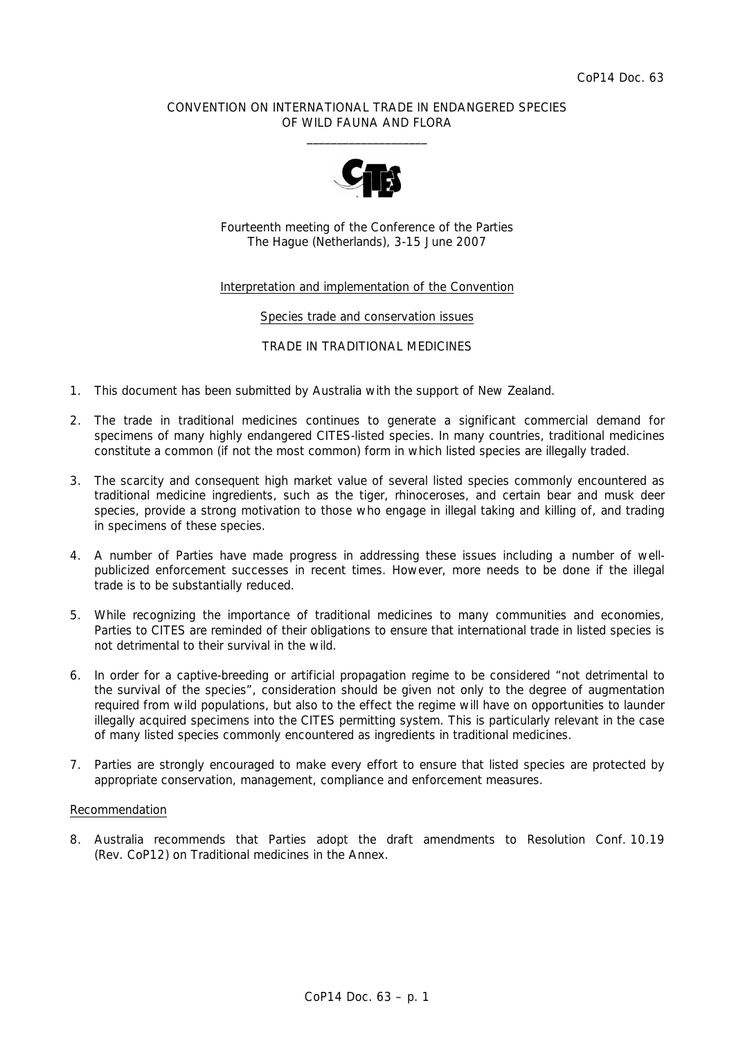# CONVENTION ON INTERNATIONAL TRADE IN ENDANGERED SPECIES OF WILD FAUNA AND FLORA  $\frac{1}{2}$  , and the set of the set of the set of the set of the set of the set of the set of the set of the set of the set of the set of the set of the set of the set of the set of the set of the set of the set of the set



Fourteenth meeting of the Conference of the Parties The Hague (Netherlands), 3-15 June 2007

# Interpretation and implementation of the Convention

## Species trade and conservation issues

# TRADE IN TRADITIONAL MEDICINES

- 1. This document has been submitted by Australia with the support of New Zealand.
- 2. The trade in traditional medicines continues to generate a significant commercial demand for specimens of many highly endangered CITES-listed species. In many countries, traditional medicines constitute a common (if not the most common) form in which listed species are illegally traded.
- 3. The scarcity and consequent high market value of several listed species commonly encountered as traditional medicine ingredients, such as the tiger, rhinoceroses, and certain bear and musk deer species, provide a strong motivation to those who engage in illegal taking and killing of, and trading in specimens of these species.
- 4. A number of Parties have made progress in addressing these issues including a number of wellpublicized enforcement successes in recent times. However, more needs to be done if the illegal trade is to be substantially reduced.
- 5. While recognizing the importance of traditional medicines to many communities and economies, Parties to CITES are reminded of their obligations to ensure that international trade in listed species is not detrimental to their survival in the wild.
- 6. In order for a captive-breeding or artificial propagation regime to be considered "not detrimental to the survival of the species", consideration should be given not only to the degree of augmentation required from wild populations, but also to the effect the regime will have on opportunities to launder illegally acquired specimens into the CITES permitting system. This is particularly relevant in the case of many listed species commonly encountered as ingredients in traditional medicines.
- 7. Parties are strongly encouraged to make every effort to ensure that listed species are protected by appropriate conservation, management, compliance and enforcement measures.

## Recommendation

8. Australia recommends that Parties adopt the draft amendments to Resolution Conf. 10.19 (Rev. CoP12) on Traditional medicines in the Annex.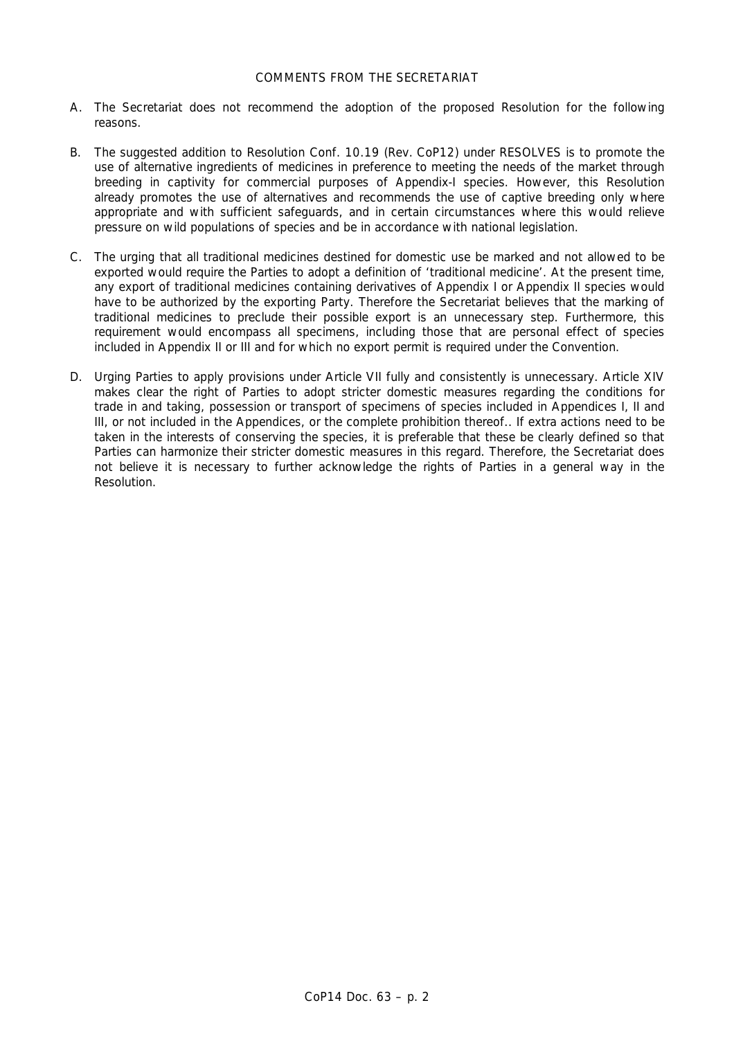- A. The Secretariat does not recommend the adoption of the proposed Resolution for the following reasons.
- B. The suggested addition to Resolution Conf. 10.19 (Rev. CoP12) under RESOLVES is to promote the use of alternative ingredients of medicines in preference to meeting the needs of the market through breeding in captivity for commercial purposes of Appendix-I species. However, this Resolution already promotes the use of alternatives and recommends the use of captive breeding only where appropriate and with sufficient safeguards, and in certain circumstances where this would relieve pressure on wild populations of species and be in accordance with national legislation.
- C. The urging that all traditional medicines destined for domestic use be marked and not allowed to be exported would require the Parties to adopt a definition of 'traditional medicine'. At the present time, any export of traditional medicines containing derivatives of Appendix I or Appendix II species would have to be authorized by the exporting Party. Therefore the Secretariat believes that the marking of traditional medicines to preclude their possible export is an unnecessary step. Furthermore, this requirement would encompass all specimens, including those that are personal effect of species included in Appendix II or III and for which no export permit is required under the Convention.
- D. Urging Parties to apply provisions under Article VII fully and consistently is unnecessary. Article XIV makes clear the right of Parties to adopt stricter domestic measures regarding the conditions for trade in and taking, possession or transport of specimens of species included in Appendices I, II and III, or not included in the Appendices, or the complete prohibition thereof.. If extra actions need to be taken in the interests of conserving the species, it is preferable that these be clearly defined so that Parties can harmonize their stricter domestic measures in this regard. Therefore, the Secretariat does not believe it is necessary to further acknowledge the rights of Parties in a general way in the Resolution.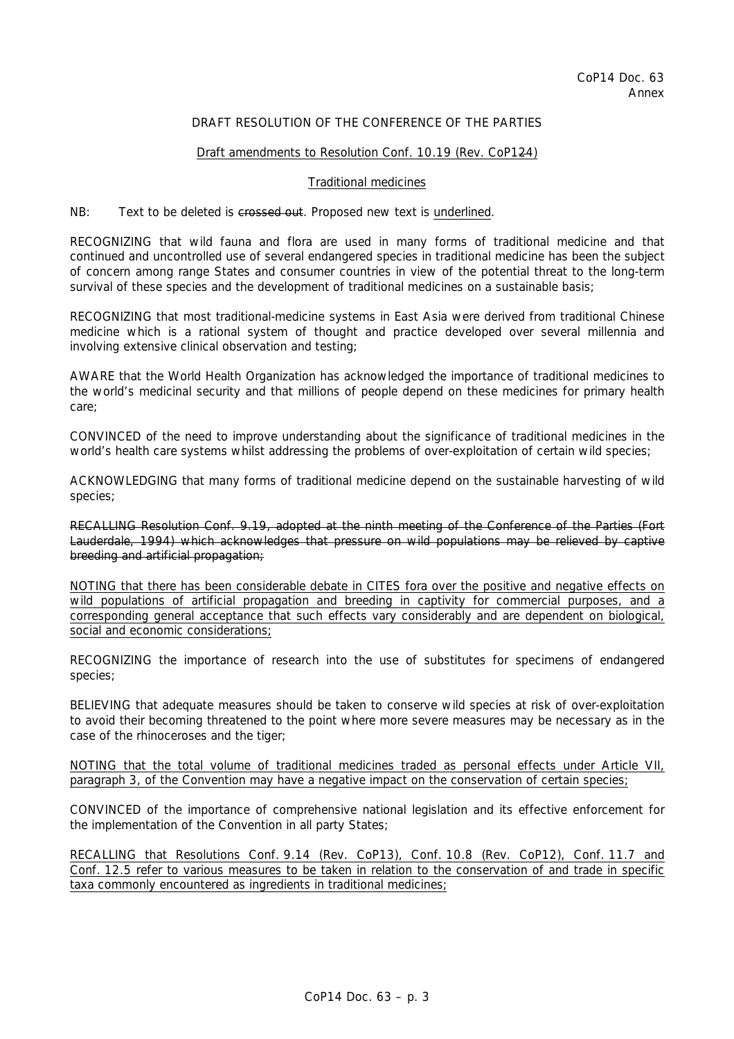# DRAFT RESOLUTION OF THE CONFERENCE OF THE PARTIES

## Draft amendments to Resolution Conf. 10.19 (Rev. CoP124)

## Traditional medicines

## NB: Text to be deleted is crossed out. Proposed new text is underlined.

RECOGNIZING that wild fauna and flora are used in many forms of traditional medicine and that continued and uncontrolled use of several endangered species in traditional medicine has been the subject of concern among range States and consumer countries in view of the potential threat to the long-term survival of these species and the development of traditional medicines on a sustainable basis;

RECOGNIZING that most traditional-medicine systems in East Asia were derived from traditional Chinese medicine which is a rational system of thought and practice developed over several millennia and involving extensive clinical observation and testing;

AWARE that the World Health Organization has acknowledged the importance of traditional medicines to the world's medicinal security and that millions of people depend on these medicines for primary health care;

CONVINCED of the need to improve understanding about the significance of traditional medicines in the world's health care systems whilst addressing the problems of over-exploitation of certain wild species;

ACKNOWLEDGING that many forms of traditional medicine depend on the sustainable harvesting of wild species;

RECALLING Resolution Conf. 9.19, adopted at the ninth meeting of the Conference of the Parties (Fort Lauderdale, 1994) which acknowledges that pressure on wild populations may be relieved by captive breeding and artificial propagation;

NOTING that there has been considerable debate in CITES fora over the positive and negative effects on wild populations of artificial propagation and breeding in captivity for commercial purposes, and a corresponding general acceptance that such effects vary considerably and are dependent on biological, social and economic considerations;

RECOGNIZING the importance of research into the use of substitutes for specimens of endangered species;

BELIEVING that adequate measures should be taken to conserve wild species at risk of over-exploitation to avoid their becoming threatened to the point where more severe measures may be necessary as in the case of the rhinoceroses and the tiger;

NOTING that the total volume of traditional medicines traded as personal effects under Article VII, paragraph 3, of the Convention may have a negative impact on the conservation of certain species;

CONVINCED of the importance of comprehensive national legislation and its effective enforcement for the implementation of the Convention in all party States;

RECALLING that Resolutions Conf. 9.14 (Rev. CoP13), Conf. 10.8 (Rev. CoP12), Conf. 11.7 and Conf. 12.5 refer to various measures to be taken in relation to the conservation of and trade in specific taxa commonly encountered as ingredients in traditional medicines;